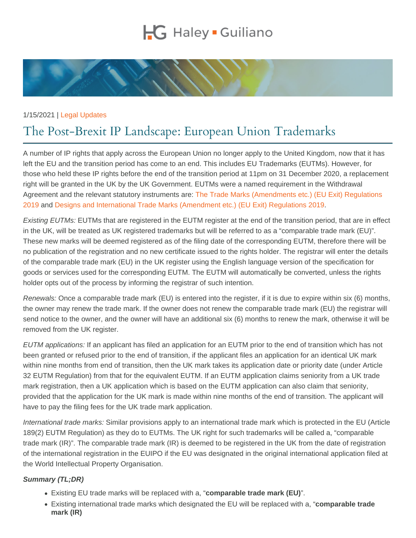## 1/15/2021 | [Legal Updates](https://www.hglaw.com/news-insights/category/legal-updates/)

## The Post-Brexit IP Landscape: European Unio

A number of IP rights that apply across the European Union no longer apply to the United Kingdom, now that it has left the EU and the transition period has come to an end. This includes EU Trademarks (EUTMs). However, for those who held these IP rights before the end of the transition period at 11pm on 31 December 2020, a replacement right will be granted in the UK by the UK Government. EUTMs were a named requirement in the Withdrawal Agreement and the relevant statutory instruments are: [The Trade Marks \(Amendments etc.\) \(EU Exit\) Regulations](https://www.legislation.gov.uk/uksi/2019/269/contents)  [2019](https://www.legislation.gov.uk/uksi/2019/269/contents) and [Designs and International Trade Marks \(Amendment etc.\) \(EU Exit\) Regulations 2019.](https://www.legislation.gov.uk/uksi/2019/638/contents/made)

Existing EUTMs: EUTMs that are registered in the EUTM register at the end of the transition period, that are in effect in the UK, will be treated as UK registered trademarks but will be referred to as a "comparable trade mark (EU)". These new marks will be deemed registered as of the filing date of the corresponding EUTM, therefore there will be no publication of the registration and no new certificate issued to the rights holder. The registrar will enter the details of the comparable trade mark (EU) in the UK register using the English language version of the specification for goods or services used for the corresponding EUTM. The EUTM will automatically be converted, unless the rights holder opts out of the process by informing the registrar of such intention.

Renewals: Once a comparable trade mark (EU) is entered into the register, if it is due to expire within six (6) months, the owner may renew the trade mark. If the owner does not renew the comparable trade mark (EU) the registrar will send notice to the owner, and the owner will have an additional six (6) months to renew the mark, otherwise it will be removed from the UK register.

EUTM applications: If an applicant has filed an application for an EUTM prior to the end of transition which has not been granted or refused prior to the end of transition, if the applicant files an application for an identical UK mark within nine months from end of transition, then the UK mark takes its application date or priority date (under Article 32 EUTM Regulation) from that for the equivalent EUTM. If an EUTM application claims seniority from a UK trade mark registration, then a UK application which is based on the EUTM application can also claim that seniority, provided that the application for the UK mark is made within nine months of the end of transition. The applicant will have to pay the filing fees for the UK trade mark application.

International trade marks: Similar provisions apply to an international trade mark which is protected in the EU (Article 189(2) EUTM Regulation) as they do to EUTMs. The UK right for such trademarks will be called a, "comparable trade mark (IR)". The comparable trade mark (IR) is deemed to be registered in the UK from the date of registration of the international registration in the EUIPO if the EU was designated in the original international application filed at the World Intellectual Property Organisation.

Summary (TL;DR)

- Existing EU trade marks will be replaced with a, "comparable trade mark (EU) ".
- Existing international trade marks which designated the EU will be replaced with a, "comparable trade mark (IR)